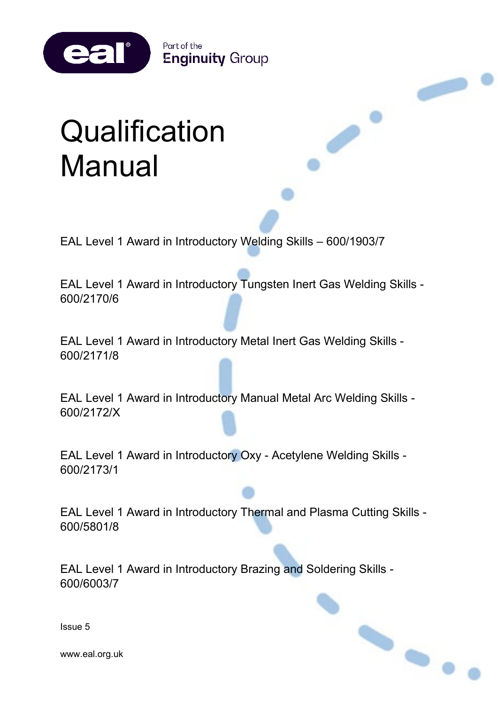Part of the **Enginuity Group** 

# **Qualification** Manual

eal®

EAL Level 1 Award in Introductory Welding Skills – 600/1903/7

EAL Level 1 Award in Introductory Tungsten Inert Gas Welding Skills - 600/2170/6

EAL Level 1 Award in Introductory Metal Inert Gas Welding Skills - 600/2171/8

EAL Level 1 Award in Introductory Manual Metal Arc Welding Skills - 600/2172/X

EAL Level 1 Award in Introductory Oxy - Acetylene Welding Skills - 600/2173/1

EAL Level 1 Award in Introductory Thermal and Plasma Cutting Skills - 600/5801/8

EAL Level 1 Award in Introductory Brazing and Soldering Skills - 600/6003/7



 $\bullet$ 

Issue 5

www.eal.org.uk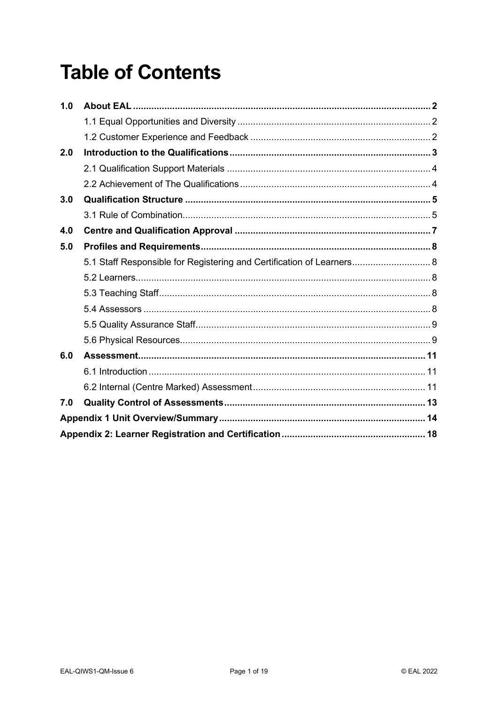## **Table of Contents**

| 1.0 |                                                                       |  |
|-----|-----------------------------------------------------------------------|--|
|     |                                                                       |  |
|     |                                                                       |  |
| 2.0 |                                                                       |  |
|     |                                                                       |  |
|     |                                                                       |  |
| 3.0 |                                                                       |  |
|     |                                                                       |  |
| 4.0 |                                                                       |  |
| 5.0 |                                                                       |  |
|     | 5.1 Staff Responsible for Registering and Certification of Learners 8 |  |
|     |                                                                       |  |
|     |                                                                       |  |
|     |                                                                       |  |
|     |                                                                       |  |
|     |                                                                       |  |
| 6.0 |                                                                       |  |
|     |                                                                       |  |
|     |                                                                       |  |
| 7.0 |                                                                       |  |
|     |                                                                       |  |
|     |                                                                       |  |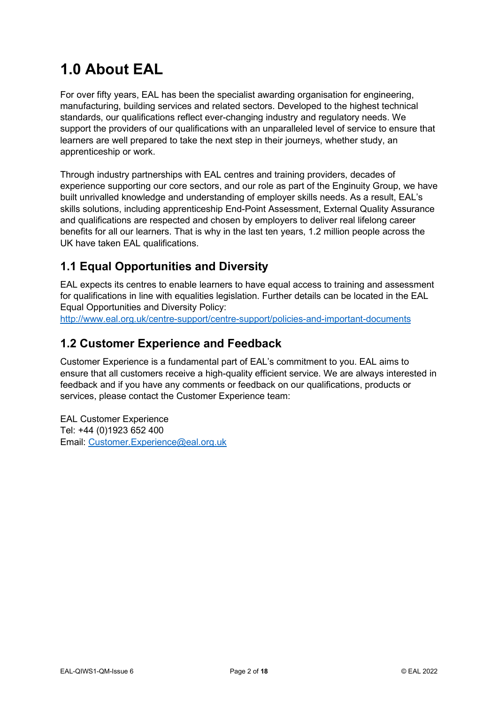## <span id="page-2-0"></span>**1.0 About EAL**

For over fifty years, EAL has been the specialist awarding organisation for engineering, manufacturing, building services and related sectors. Developed to the highest technical standards, our qualifications reflect ever-changing industry and regulatory needs. We support the providers of our qualifications with an unparalleled level of service to ensure that learners are well prepared to take the next step in their journeys, whether study, an apprenticeship or work.

Through industry partnerships with EAL centres and training providers, decades of experience supporting our core sectors, and our role as part of the Enginuity Group, we have built unrivalled knowledge and understanding of employer skills needs. As a result, EAL's skills solutions, including apprenticeship End-Point Assessment, External Quality Assurance and qualifications are respected and chosen by employers to deliver real lifelong career benefits for all our learners. That is why in the last ten years, 1.2 million people across the UK have taken EAL qualifications.

## <span id="page-2-1"></span>**1.1 Equal Opportunities and Diversity**

EAL expects its centres to enable learners to have equal access to training and assessment for qualifications in line with equalities legislation. Further details can be located in the EAL Equal Opportunities and Diversity Policy:

<http://www.eal.org.uk/centre-support/centre-support/policies-and-important-documents>

## <span id="page-2-2"></span>**1.2 Customer Experience and Feedback**

Customer Experience is a fundamental part of EAL's commitment to you. EAL aims to ensure that all customers receive a high-quality efficient service. We are always interested in feedback and if you have any comments or feedback on our qualifications, products or services, please contact the Customer Experience team:

EAL Customer Experience Tel: +44 (0)1923 652 400 Email: [Customer.Experience@eal.org.uk](mailto:EAL%20Customer%20Experience%20%3cCustomer.Experience@eal.org.uk%3e)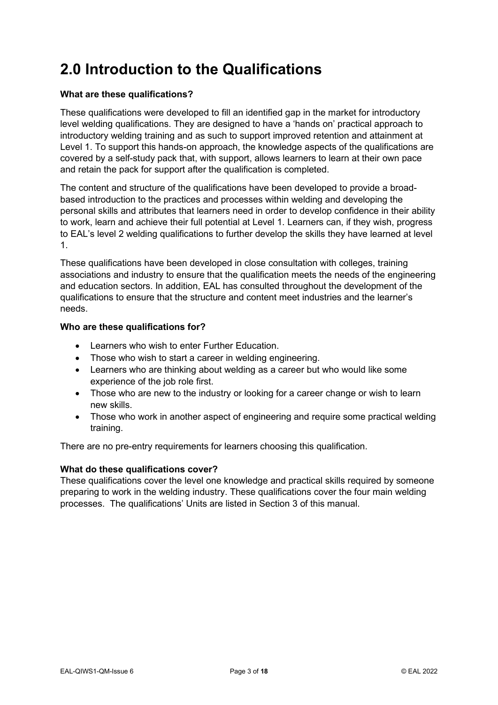## <span id="page-3-0"></span>**2.0 Introduction to the Qualifications**

## **What are these qualifications?**

These qualifications were developed to fill an identified gap in the market for introductory level welding qualifications. They are designed to have a 'hands on' practical approach to introductory welding training and as such to support improved retention and attainment at Level 1. To support this hands-on approach, the knowledge aspects of the qualifications are covered by a self-study pack that, with support, allows learners to learn at their own pace and retain the pack for support after the qualification is completed.

The content and structure of the qualifications have been developed to provide a broadbased introduction to the practices and processes within welding and developing the personal skills and attributes that learners need in order to develop confidence in their ability to work, learn and achieve their full potential at Level 1. Learners can, if they wish, progress to EAL's level 2 welding qualifications to further develop the skills they have learned at level 1.

These qualifications have been developed in close consultation with colleges, training associations and industry to ensure that the qualification meets the needs of the engineering and education sectors. In addition, EAL has consulted throughout the development of the qualifications to ensure that the structure and content meet industries and the learner's needs.

### **Who are these qualifications for?**

- Learners who wish to enter Further Education.
- Those who wish to start a career in welding engineering.
- Learners who are thinking about welding as a career but who would like some experience of the job role first.
- Those who are new to the industry or looking for a career change or wish to learn new skills.
- Those who work in another aspect of engineering and require some practical welding training.

There are no pre-entry requirements for learners choosing this qualification.

#### **What do these qualifications cover?**

These qualifications cover the level one knowledge and practical skills required by someone preparing to work in the welding industry. These qualifications cover the four main welding processes. The qualifications' Units are listed in Section 3 of this manual.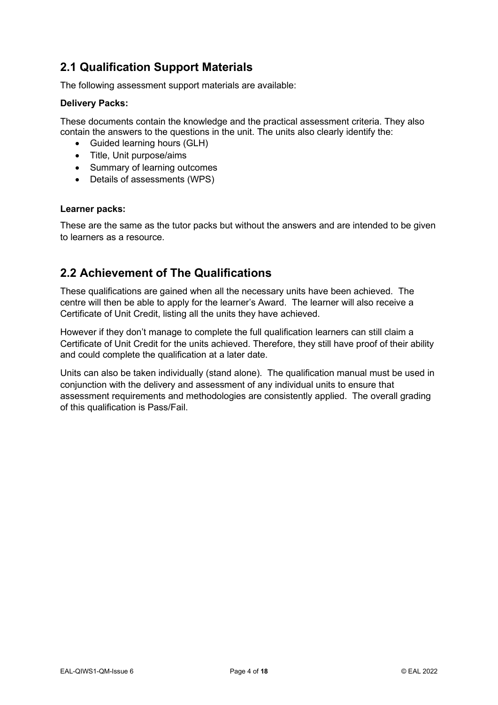## <span id="page-4-0"></span>**2.1 Qualification Support Materials**

The following assessment support materials are available:

## **Delivery Packs:**

These documents contain the knowledge and the practical assessment criteria. They also contain the answers to the questions in the unit. The units also clearly identify the:

- Guided learning hours (GLH)
- Title, Unit purpose/aims
- Summary of learning outcomes
- Details of assessments (WPS)

#### **Learner packs:**

These are the same as the tutor packs but without the answers and are intended to be given to learners as a resource.

## <span id="page-4-1"></span>**2.2 Achievement of The Qualifications**

These qualifications are gained when all the necessary units have been achieved. The centre will then be able to apply for the learner's Award. The learner will also receive a Certificate of Unit Credit, listing all the units they have achieved.

However if they don't manage to complete the full qualification learners can still claim a Certificate of Unit Credit for the units achieved. Therefore, they still have proof of their ability and could complete the qualification at a later date.

Units can also be taken individually (stand alone). The qualification manual must be used in conjunction with the delivery and assessment of any individual units to ensure that assessment requirements and methodologies are consistently applied. The overall grading of this qualification is Pass/Fail.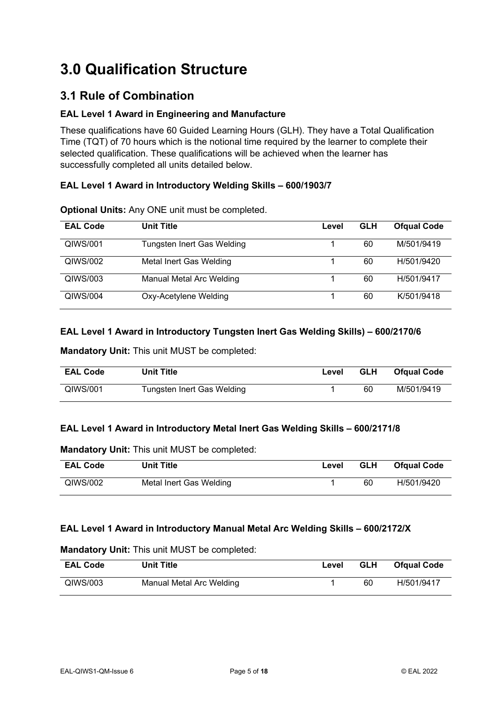## <span id="page-5-0"></span>**3.0 Qualification Structure**

## <span id="page-5-1"></span>**3.1 Rule of Combination**

## **EAL Level 1 Award in Engineering and Manufacture**

These qualifications have 60 Guided Learning Hours (GLH). They have a Total Qualification Time (TQT) of 70 hours which is the notional time required by the learner to complete their selected qualification. These qualifications will be achieved when the learner has successfully completed all units detailed below.

## **EAL Level 1 Award in Introductory Welding Skills – 600/1903/7**

| <b>EAL Code</b> | <b>Unit Title</b>          | Level | <b>GLH</b> | <b>Ofqual Code</b> |
|-----------------|----------------------------|-------|------------|--------------------|
| QIWS/001        | Tungsten Inert Gas Welding |       | 60         | M/501/9419         |
| QIWS/002        | Metal Inert Gas Welding    |       | 60         | H/501/9420         |
| QIWS/003        | Manual Metal Arc Welding   |       | 60         | H/501/9417         |
| QIWS/004        | Oxy-Acetylene Welding      |       | 60         | K/501/9418         |

**Optional Units:** Any ONE unit must be completed.

## **EAL Level 1 Award in Introductory Tungsten Inert Gas Welding Skills) – 600/2170/6**

**Mandatory Unit:** This unit MUST be completed:

| <b>EAL Code</b> | <b>Unit Title</b>          | Level | <b>GLH</b> | <b>Ofqual Code</b> |
|-----------------|----------------------------|-------|------------|--------------------|
| QIWS/001        | Tungsten Inert Gas Welding |       | 60         | M/501/9419         |

## **EAL Level 1 Award in Introductory Metal Inert Gas Welding Skills – 600/2171/8**

#### **Mandatory Unit:** This unit MUST be completed:

| <b>EAL Code</b> | <b>Unit Title</b>       | Level | <b>GLH</b> | <b>Ofqual Code</b> |
|-----------------|-------------------------|-------|------------|--------------------|
| QIWS/002        | Metal Inert Gas Welding |       | 60         | H/501/9420         |

## **EAL Level 1 Award in Introductory Manual Metal Arc Welding Skills – 600/2172/X**

#### **Mandatory Unit:** This unit MUST be completed:

| <b>EAL Code</b> | <b>Unit Title</b>        | Level | <b>GLH</b> | <b>Ofqual Code</b> |
|-----------------|--------------------------|-------|------------|--------------------|
| QIWS/003        | Manual Metal Arc Welding |       | 60         | H/501/9417         |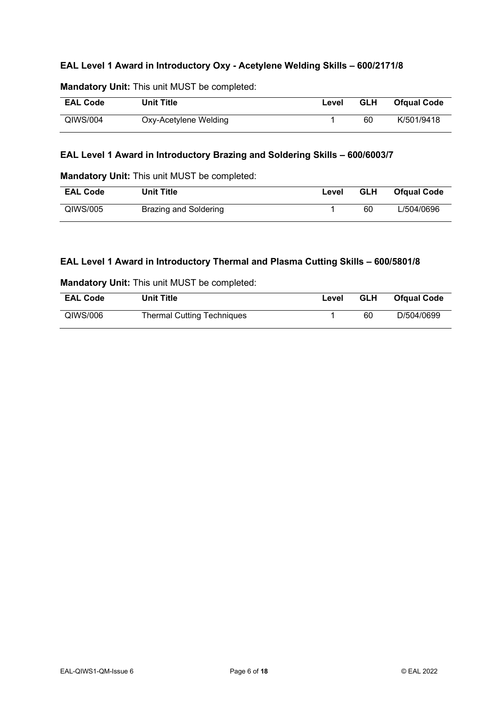## **EAL Level 1 Award in Introductory Oxy - Acetylene Welding Skills – 600/2171/8**

| <b>EAL Code</b> | <b>Unit Title</b>     | Level | <b>GLH</b> | <b>Ofqual Code</b> |
|-----------------|-----------------------|-------|------------|--------------------|
| QIWS/004        | Oxy-Acetylene Welding |       | 60         | K/501/9418         |

## **Mandatory Unit:** This unit MUST be completed:

## **EAL Level 1 Award in Introductory Brazing and Soldering Skills – 600/6003/7**

**Mandatory Unit:** This unit MUST be completed:

| <b>EAL Code</b> | <b>Unit Title</b>     | Level | <b>GLH</b> | <b>Ofqual Code</b> |
|-----------------|-----------------------|-------|------------|--------------------|
| QIWS/005        | Brazing and Soldering |       | 60         | L/504/0696         |

### **EAL Level 1 Award in Introductory Thermal and Plasma Cutting Skills – 600/5801/8**

|                 | <b>Mandatory Unit: This unit MUST be completed:</b> |       |
|-----------------|-----------------------------------------------------|-------|
| <b>EAL Code</b> | <b>Unit Title</b>                                   | Level |

| <b>EAL Code</b> | <b>Unit Title</b>                 | Level | <b>GLH</b> | <b>Ofqual Code</b> |
|-----------------|-----------------------------------|-------|------------|--------------------|
| QIWS/006        | <b>Thermal Cutting Techniques</b> |       | 60         | D/504/0699         |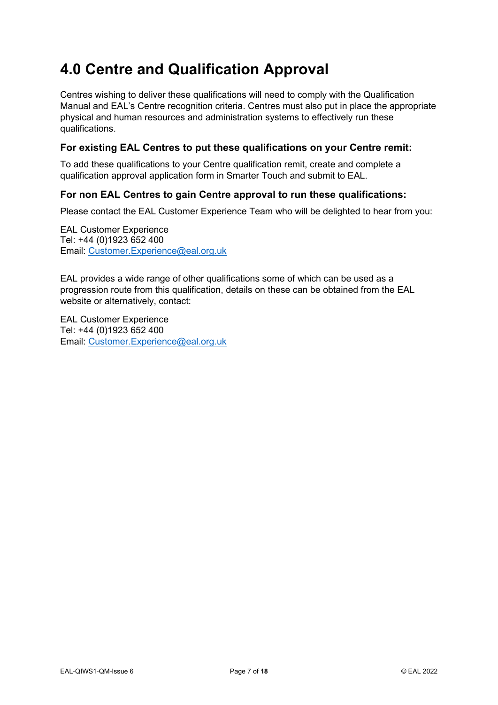## <span id="page-7-0"></span>**4.0 Centre and Qualification Approval**

Centres wishing to deliver these qualifications will need to comply with the Qualification Manual and EAL's Centre recognition criteria. Centres must also put in place the appropriate physical and human resources and administration systems to effectively run these qualifications.

## **For existing EAL Centres to put these qualifications on your Centre remit:**

To add these qualifications to your Centre qualification remit, create and complete a qualification approval application form in Smarter Touch and submit to EAL.

## **For non EAL Centres to gain Centre approval to run these qualifications:**

Please contact the EAL Customer Experience Team who will be delighted to hear from you:

EAL Customer Experience Tel: +44 (0)1923 652 400 Email: [Customer.Experience@eal.org.uk](mailto:Customer.Experience@eal.org.uk)

EAL provides a wide range of other qualifications some of which can be used as a progression route from this qualification, details on these can be obtained from the EAL website or alternatively, contact:

EAL Customer Experience Tel: +44 (0)1923 652 400 Email: [Customer.Experience@eal.org.uk](mailto:Customer.Experience@eal.org.uk)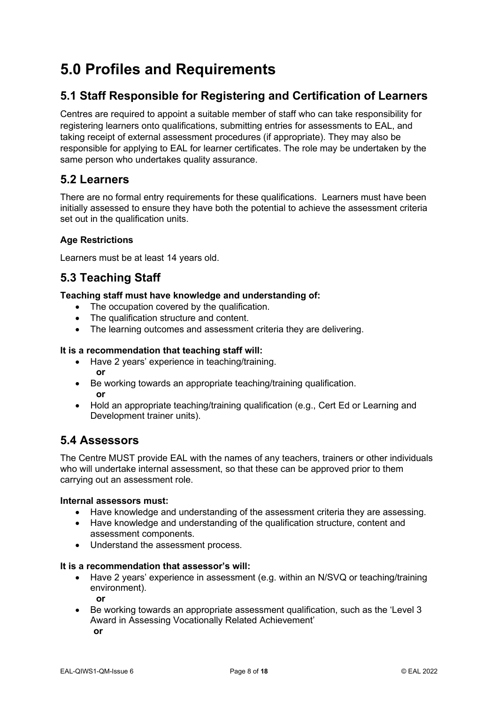## <span id="page-8-0"></span>**5.0 Profiles and Requirements**

## <span id="page-8-1"></span>**5.1 Staff Responsible for Registering and Certification of Learners**

Centres are required to appoint a suitable member of staff who can take responsibility for registering learners onto qualifications, submitting entries for assessments to EAL, and taking receipt of external assessment procedures (if appropriate). They may also be responsible for applying to EAL for learner certificates. The role may be undertaken by the same person who undertakes quality assurance.

## <span id="page-8-2"></span>**5.2 Learners**

There are no formal entry requirements for these qualifications. Learners must have been initially assessed to ensure they have both the potential to achieve the assessment criteria set out in the qualification units.

## **Age Restrictions**

Learners must be at least 14 years old.

## <span id="page-8-3"></span>**5.3 Teaching Staff**

## **Teaching staff must have knowledge and understanding of:**

- The occupation covered by the qualification.
- The qualification structure and content.
- The learning outcomes and assessment criteria they are delivering.

### **It is a recommendation that teaching staff will:**

- Have 2 years' experience in teaching/training. **or**
- Be working towards an appropriate teaching/training qualification.  **or**
- Hold an appropriate teaching/training qualification (e.g., Cert Ed or Learning and Development trainer units).

## <span id="page-8-4"></span>**5.4 Assessors**

The Centre MUST provide EAL with the names of any teachers, trainers or other individuals who will undertake internal assessment, so that these can be approved prior to them carrying out an assessment role.

#### **Internal assessors must:**

- Have knowledge and understanding of the assessment criteria they are assessing.
- Have knowledge and understanding of the qualification structure, content and assessment components.
- Understand the assessment process.

#### **It is a recommendation that assessor's will:**

- Have 2 years' experience in assessment (e.g. within an N/SVQ or teaching/training environment). **or**
- Be working towards an appropriate assessment qualification, such as the 'Level 3 Award in Assessing Vocationally Related Achievement' **or**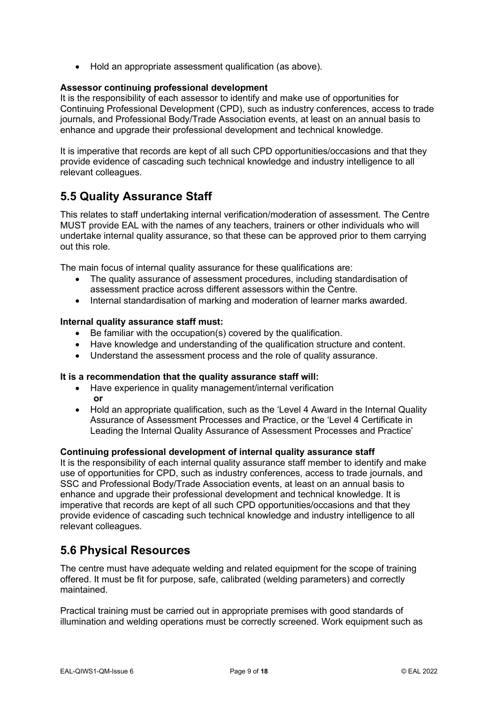• Hold an appropriate assessment qualification (as above).

### **Assessor continuing professional development**

It is the responsibility of each assessor to identify and make use of opportunities for Continuing Professional Development (CPD), such as industry conferences, access to trade journals, and Professional Body/Trade Association events, at least on an annual basis to enhance and upgrade their professional development and technical knowledge.

It is imperative that records are kept of all such CPD opportunities/occasions and that they provide evidence of cascading such technical knowledge and industry intelligence to all relevant colleagues.

## <span id="page-9-0"></span>**5.5 Quality Assurance Staff**

This relates to staff undertaking internal verification/moderation of assessment. The Centre MUST provide EAL with the names of any teachers, trainers or other individuals who will undertake internal quality assurance, so that these can be approved prior to them carrying out this role.

The main focus of internal quality assurance for these qualifications are:

- The quality assurance of assessment procedures, including standardisation of assessment practice across different assessors within the Centre.
- Internal standardisation of marking and moderation of learner marks awarded.

#### **Internal quality assurance staff must:**

- Be familiar with the occupation(s) covered by the qualification.
- Have knowledge and understanding of the qualification structure and content.
- Understand the assessment process and the role of quality assurance.

#### **It is a recommendation that the quality assurance staff will:**

- Have experience in quality management/internal verification **or**
- Hold an appropriate qualification, such as the 'Level 4 Award in the Internal Quality Assurance of Assessment Processes and Practice, or the 'Level 4 Certificate in Leading the Internal Quality Assurance of Assessment Processes and Practice'

#### **Continuing professional development of internal quality assurance staff**

It is the responsibility of each internal quality assurance staff member to identify and make use of opportunities for CPD, such as industry conferences, access to trade journals, and SSC and Professional Body/Trade Association events, at least on an annual basis to enhance and upgrade their professional development and technical knowledge. It is imperative that records are kept of all such CPD opportunities/occasions and that they provide evidence of cascading such technical knowledge and industry intelligence to all relevant colleagues.

## <span id="page-9-1"></span>**5.6 Physical Resources**

The centre must have adequate welding and related equipment for the scope of training offered. It must be fit for purpose, safe, calibrated (welding parameters) and correctly maintained.

Practical training must be carried out in appropriate premises with good standards of illumination and welding operations must be correctly screened. Work equipment such as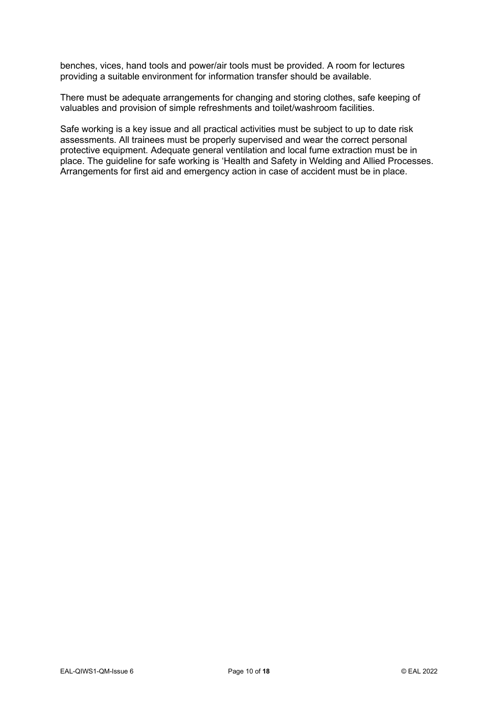benches, vices, hand tools and power/air tools must be provided. A room for lectures providing a suitable environment for information transfer should be available.

There must be adequate arrangements for changing and storing clothes, safe keeping of valuables and provision of simple refreshments and toilet/washroom facilities.

Safe working is a key issue and all practical activities must be subject to up to date risk assessments. All trainees must be properly supervised and wear the correct personal protective equipment. Adequate general ventilation and local fume extraction must be in place. The guideline for safe working is 'Health and Safety in Welding and Allied Processes. Arrangements for first aid and emergency action in case of accident must be in place.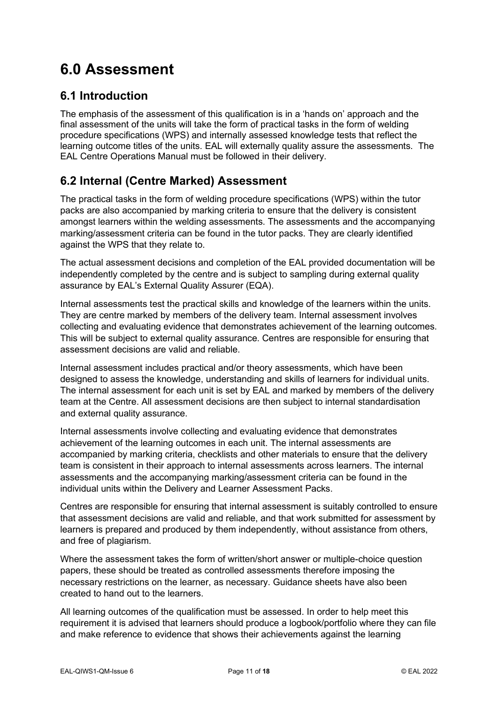## <span id="page-11-0"></span>**6.0 Assessment**

## <span id="page-11-1"></span>**6.1 Introduction**

The emphasis of the assessment of this qualification is in a 'hands on' approach and the final assessment of the units will take the form of practical tasks in the form of welding procedure specifications (WPS) and internally assessed knowledge tests that reflect the learning outcome titles of the units. EAL will externally quality assure the assessments. The EAL Centre Operations Manual must be followed in their delivery.

## <span id="page-11-2"></span>**6.2 Internal (Centre Marked) Assessment**

The practical tasks in the form of welding procedure specifications (WPS) within the tutor packs are also accompanied by marking criteria to ensure that the delivery is consistent amongst learners within the welding assessments. The assessments and the accompanying marking/assessment criteria can be found in the tutor packs. They are clearly identified against the WPS that they relate to.

The actual assessment decisions and completion of the EAL provided documentation will be independently completed by the centre and is subject to sampling during external quality assurance by EAL's External Quality Assurer (EQA).

Internal assessments test the practical skills and knowledge of the learners within the units. They are centre marked by members of the delivery team. Internal assessment involves collecting and evaluating evidence that demonstrates achievement of the learning outcomes. This will be subject to external quality assurance. Centres are responsible for ensuring that assessment decisions are valid and reliable.

Internal assessment includes practical and/or theory assessments, which have been designed to assess the knowledge, understanding and skills of learners for individual units. The internal assessment for each unit is set by EAL and marked by members of the delivery team at the Centre. All assessment decisions are then subject to internal standardisation and external quality assurance.

Internal assessments involve collecting and evaluating evidence that demonstrates achievement of the learning outcomes in each unit. The internal assessments are accompanied by marking criteria, checklists and other materials to ensure that the delivery team is consistent in their approach to internal assessments across learners. The internal assessments and the accompanying marking/assessment criteria can be found in the individual units within the Delivery and Learner Assessment Packs.

Centres are responsible for ensuring that internal assessment is suitably controlled to ensure that assessment decisions are valid and reliable, and that work submitted for assessment by learners is prepared and produced by them independently, without assistance from others, and free of plagiarism.

Where the assessment takes the form of written/short answer or multiple-choice question papers, these should be treated as controlled assessments therefore imposing the necessary restrictions on the learner, as necessary. Guidance sheets have also been created to hand out to the learners.

All learning outcomes of the qualification must be assessed. In order to help meet this requirement it is advised that learners should produce a logbook/portfolio where they can file and make reference to evidence that shows their achievements against the learning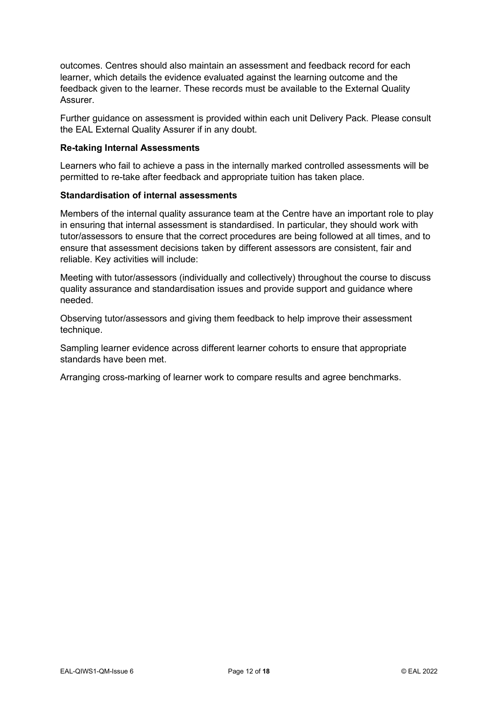outcomes. Centres should also maintain an assessment and feedback record for each learner, which details the evidence evaluated against the learning outcome and the feedback given to the learner. These records must be available to the External Quality Assurer.

Further guidance on assessment is provided within each unit Delivery Pack. Please consult the EAL External Quality Assurer if in any doubt.

#### **Re-taking Internal Assessments**

Learners who fail to achieve a pass in the internally marked controlled assessments will be permitted to re-take after feedback and appropriate tuition has taken place.

#### **Standardisation of internal assessments**

Members of the internal quality assurance team at the Centre have an important role to play in ensuring that internal assessment is standardised. In particular, they should work with tutor/assessors to ensure that the correct procedures are being followed at all times, and to ensure that assessment decisions taken by different assessors are consistent, fair and reliable. Key activities will include:

Meeting with tutor/assessors (individually and collectively) throughout the course to discuss quality assurance and standardisation issues and provide support and guidance where needed.

Observing tutor/assessors and giving them feedback to help improve their assessment technique.

Sampling learner evidence across different learner cohorts to ensure that appropriate standards have been met.

Arranging cross-marking of learner work to compare results and agree benchmarks.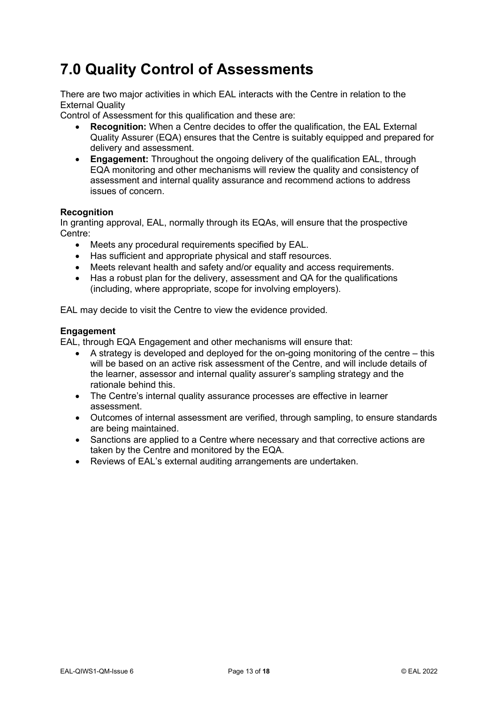## <span id="page-13-0"></span>**7.0 Quality Control of Assessments**

There are two major activities in which EAL interacts with the Centre in relation to the External Quality

Control of Assessment for this qualification and these are:

- **Recognition:** When a Centre decides to offer the qualification, the EAL External Quality Assurer (EQA) ensures that the Centre is suitably equipped and prepared for delivery and assessment.
- **Engagement:** Throughout the ongoing delivery of the qualification EAL, through EQA monitoring and other mechanisms will review the quality and consistency of assessment and internal quality assurance and recommend actions to address issues of concern.

### **Recognition**

In granting approval, EAL, normally through its EQAs, will ensure that the prospective Centre:

- Meets any procedural requirements specified by EAL.
- Has sufficient and appropriate physical and staff resources.
- Meets relevant health and safety and/or equality and access requirements.
- Has a robust plan for the delivery, assessment and QA for the qualifications (including, where appropriate, scope for involving employers).

EAL may decide to visit the Centre to view the evidence provided.

#### **Engagement**

EAL, through EQA Engagement and other mechanisms will ensure that:

- A strategy is developed and deployed for the on-going monitoring of the centre this will be based on an active risk assessment of the Centre, and will include details of the learner, assessor and internal quality assurer's sampling strategy and the rationale behind this.
- The Centre's internal quality assurance processes are effective in learner assessment.
- Outcomes of internal assessment are verified, through sampling, to ensure standards are being maintained.
- Sanctions are applied to a Centre where necessary and that corrective actions are taken by the Centre and monitored by the EQA.
- Reviews of EAL's external auditing arrangements are undertaken.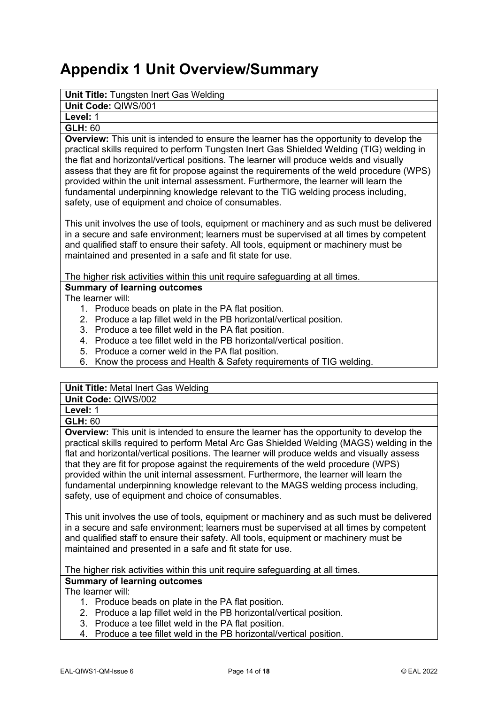## <span id="page-14-0"></span>**Appendix 1 Unit Overview/Summary**

### **Unit Title:** Tungsten Inert Gas Welding

**Unit Code:** QIWS/001

**Level:** 1

## **GLH:** 60

**Overview:** This unit is intended to ensure the learner has the opportunity to develop the practical skills required to perform Tungsten Inert Gas Shielded Welding (TIG) welding in the flat and horizontal/vertical positions. The learner will produce welds and visually assess that they are fit for propose against the requirements of the weld procedure (WPS) provided within the unit internal assessment. Furthermore, the learner will learn the fundamental underpinning knowledge relevant to the TIG welding process including, safety, use of equipment and choice of consumables.

This unit involves the use of tools, equipment or machinery and as such must be delivered in a secure and safe environment; learners must be supervised at all times by competent and qualified staff to ensure their safety. All tools, equipment or machinery must be maintained and presented in a safe and fit state for use.

The higher risk activities within this unit require safeguarding at all times.

## **Summary of learning outcomes**

The learner will:

- 1. Produce beads on plate in the PA flat position.
- 2. Produce a lap fillet weld in the PB horizontal/vertical position.
- 3. Produce a tee fillet weld in the PA flat position.
- 4. Produce a tee fillet weld in the PB horizontal/vertical position.
- 5. Produce a corner weld in the PA flat position.
- 6. Know the process and Health & Safety requirements of TIG welding.

#### **Unit Title:** Metal Inert Gas Welding

**Unit Code:** QIWS/002

**Level:** 1

**GLH:** 60

**Overview:** This unit is intended to ensure the learner has the opportunity to develop the practical skills required to perform Metal Arc Gas Shielded Welding (MAGS) welding in the flat and horizontal/vertical positions. The learner will produce welds and visually assess that they are fit for propose against the requirements of the weld procedure (WPS) provided within the unit internal assessment. Furthermore, the learner will learn the fundamental underpinning knowledge relevant to the MAGS welding process including, safety, use of equipment and choice of consumables.

This unit involves the use of tools, equipment or machinery and as such must be delivered in a secure and safe environment; learners must be supervised at all times by competent and qualified staff to ensure their safety. All tools, equipment or machinery must be maintained and presented in a safe and fit state for use.

The higher risk activities within this unit require safeguarding at all times.

## **Summary of learning outcomes**

The learner will:

- 1. Produce beads on plate in the PA flat position.
- 2. Produce a lap fillet weld in the PB horizontal/vertical position.
- 3. Produce a tee fillet weld in the PA flat position.
- 4. Produce a tee fillet weld in the PB horizontal/vertical position.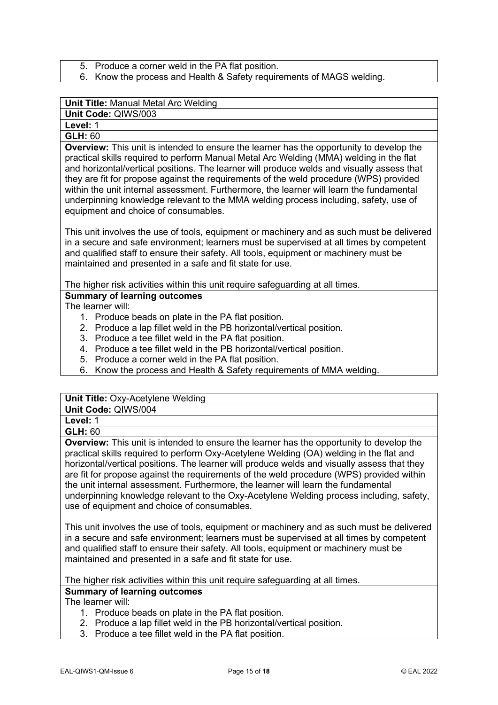- 5. Produce a corner weld in the PA flat position.
- 6. Know the process and Health & Safety requirements of MAGS welding.

### **Unit Title:** Manual Metal Arc Welding

**Unit Code:** QIWS/003

## **Level:** 1

## **GLH:** 60

**Overview:** This unit is intended to ensure the learner has the opportunity to develop the practical skills required to perform Manual Metal Arc Welding (MMA) welding in the flat and horizontal/vertical positions. The learner will produce welds and visually assess that they are fit for propose against the requirements of the weld procedure (WPS) provided within the unit internal assessment. Furthermore, the learner will learn the fundamental underpinning knowledge relevant to the MMA welding process including, safety, use of equipment and choice of consumables.

This unit involves the use of tools, equipment or machinery and as such must be delivered in a secure and safe environment; learners must be supervised at all times by competent and qualified staff to ensure their safety. All tools, equipment or machinery must be maintained and presented in a safe and fit state for use.

The higher risk activities within this unit require safeguarding at all times.

## **Summary of learning outcomes**

The learner will:

- 1. Produce beads on plate in the PA flat position.
- 2. Produce a lap fillet weld in the PB horizontal/vertical position.
- 3. Produce a tee fillet weld in the PA flat position.
- 4. Produce a tee fillet weld in the PB horizontal/vertical position.
- 5. Produce a corner weld in the PA flat position.
- 6. Know the process and Health & Safety requirements of MMA welding.

| <b>Unit Title: Oxy-Acetylene Welding</b> |  |
|------------------------------------------|--|
|------------------------------------------|--|

**Unit Code:** QIWS/004

## **Level:** 1

## **GLH:** 60

**Overview:** This unit is intended to ensure the learner has the opportunity to develop the practical skills required to perform Oxy-Acetylene Welding (OA) welding in the flat and horizontal/vertical positions. The learner will produce welds and visually assess that they are fit for propose against the requirements of the weld procedure (WPS) provided within the unit internal assessment. Furthermore, the learner will learn the fundamental underpinning knowledge relevant to the Oxy-Acetylene Welding process including, safety, use of equipment and choice of consumables.

This unit involves the use of tools, equipment or machinery and as such must be delivered in a secure and safe environment; learners must be supervised at all times by competent and qualified staff to ensure their safety. All tools, equipment or machinery must be maintained and presented in a safe and fit state for use.

The higher risk activities within this unit require safeguarding at all times.

## **Summary of learning outcomes**

The learner will:

- 1. Produce beads on plate in the PA flat position.
- 2. Produce a lap fillet weld in the PB horizontal/vertical position.
- 3. Produce a tee fillet weld in the PA flat position.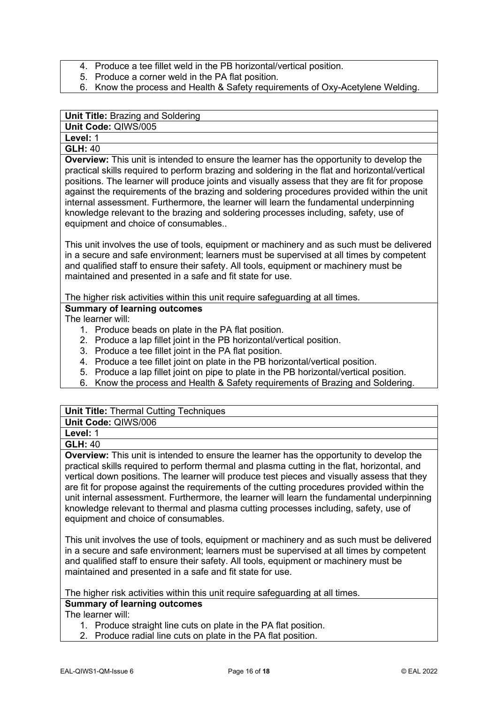- 4. Produce a tee fillet weld in the PB horizontal/vertical position.
- 5. Produce a corner weld in the PA flat position.
- 6. Know the process and Health & Safety requirements of Oxy-Acetylene Welding.

## **Unit Title:** Brazing and Soldering

**Unit Code:** QIWS/005

**Level:** 1

## **GLH:** 40

**Overview:** This unit is intended to ensure the learner has the opportunity to develop the practical skills required to perform brazing and soldering in the flat and horizontal/vertical positions. The learner will produce joints and visually assess that they are fit for propose against the requirements of the brazing and soldering procedures provided within the unit internal assessment. Furthermore, the learner will learn the fundamental underpinning knowledge relevant to the brazing and soldering processes including, safety, use of equipment and choice of consumables..

This unit involves the use of tools, equipment or machinery and as such must be delivered in a secure and safe environment; learners must be supervised at all times by competent and qualified staff to ensure their safety. All tools, equipment or machinery must be maintained and presented in a safe and fit state for use.

The higher risk activities within this unit require safeguarding at all times.

## **Summary of learning outcomes**

The learner will:

- 1. Produce beads on plate in the PA flat position.
- 2. Produce a lap fillet joint in the PB horizontal/vertical position.
- 3. Produce a tee fillet joint in the PA flat position.
- 4. Produce a tee fillet joint on plate in the PB horizontal/vertical position.
- 5. Produce a lap fillet joint on pipe to plate in the PB horizontal/vertical position.
- 6. Know the process and Health & Safety requirements of Brazing and Soldering.

## **Unit Title: Thermal Cutting Techniques**

| Unit Code: QIWS/006 |
|---------------------|
|---------------------|

#### **Level:** 1 **GLH:** 40

**Overview:** This unit is intended to ensure the learner has the opportunity to develop the practical skills required to perform thermal and plasma cutting in the flat, horizontal, and vertical down positions. The learner will produce test pieces and visually assess that they are fit for propose against the requirements of the cutting procedures provided within the unit internal assessment. Furthermore, the learner will learn the fundamental underpinning knowledge relevant to thermal and plasma cutting processes including, safety, use of equipment and choice of consumables.

This unit involves the use of tools, equipment or machinery and as such must be delivered in a secure and safe environment; learners must be supervised at all times by competent and qualified staff to ensure their safety. All tools, equipment or machinery must be maintained and presented in a safe and fit state for use.

The higher risk activities within this unit require safeguarding at all times.

### **Summary of learning outcomes**

The learner will:

- 1. Produce straight line cuts on plate in the PA flat position.
- 2. Produce radial line cuts on plate in the PA flat position.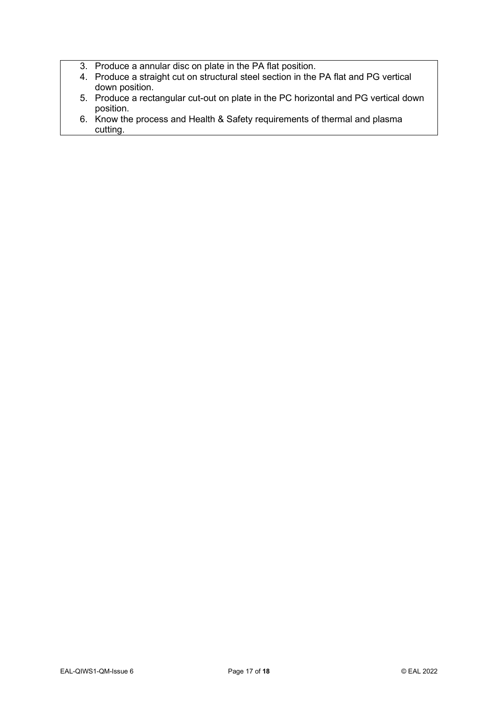- 3. Produce a annular disc on plate in the PA flat position.
- 4. Produce a straight cut on structural steel section in the PA flat and PG vertical down position.
- 5. Produce a rectangular cut-out on plate in the PC horizontal and PG vertical down position.
- 6. Know the process and Health & Safety requirements of thermal and plasma cutting.